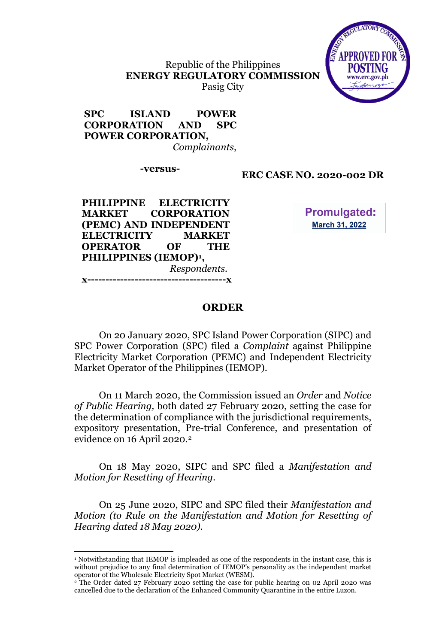Republic of the Philippines **ENERGY REGULATORY COMMISSION** Pasig City



#### **SPC ISLAND POWER CORPORATION AND SPC POWER CORPORATION,**  *Complainants*,

# **-versus- ERC CASE NO. 2020-002 DR**

**PHILIPPINE ELECTRICITY MARKET CORPORATION (PEMC) AND INDEPENDENT ELECTRICITY MARKET OPERATOR OF THE PHILIPPINES (IEMOP)1 ,**   *Respondents.* **x--------------------------------------x**

l

**Promulgated: March 31, 2022** 

## **ORDER**

On 20 January 2020, SPC Island Power Corporation (SIPC) and SPC Power Corporation (SPC) filed a *Complaint* against Philippine Electricity Market Corporation (PEMC) and Independent Electricity Market Operator of the Philippines (IEMOP).

On 11 March 2020, the Commission issued an *Order* and *Notice of Public Hearing,* both dated 27 February 2020, setting the case for the determination of compliance with the jurisdictional requirements, expository presentation, Pre-trial Conference, and presentation of evidence on 16 April 2020.2

On 18 May 2020, SIPC and SPC filed a *Manifestation and Motion for Resetting of Hearing.*

On 25 June 2020, SIPC and SPC filed their *Manifestation and Motion (to Rule on the Manifestation and Motion for Resetting of Hearing dated 18 May 2020).*

<sup>1</sup> Notwithstanding that IEMOP is impleaded as one of the respondents in the instant case, this is without prejudice to any final determination of IEMOP's personality as the independent market operator of the Wholesale Electricity Spot Market (WESM).

<sup>&</sup>lt;sup>2</sup> The Order dated 27 February 2020 setting the case for public hearing on 02 April 2020 was cancelled due to the declaration of the Enhanced Community Quarantine in the entire Luzon.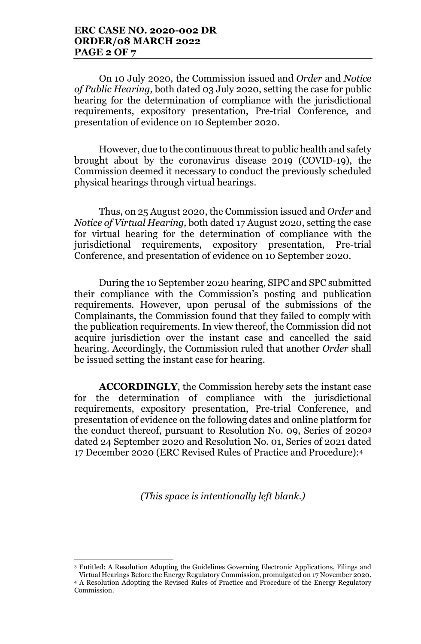On 10 July 2020, the Commission issued and *Order* and *Notice of Public Hearing,* both dated 03 July 2020, setting the case for public hearing for the determination of compliance with the jurisdictional requirements, expository presentation, Pre-trial Conference, and presentation of evidence on 10 September 2020.

However, due to the continuous threat to public health and safety brought about by the coronavirus disease 2019 (COVID-19), the Commission deemed it necessary to conduct the previously scheduled physical hearings through virtual hearings.

Thus, on 25 August 2020, the Commission issued and *Order* and *Notice of Virtual Hearing,* both dated 17 August 2020, setting the case for virtual hearing for the determination of compliance with the jurisdictional requirements, expository presentation, Pre-trial Conference, and presentation of evidence on 10 September 2020.

During the 10 September 2020 hearing, SIPC and SPC submitted their compliance with the Commission's posting and publication requirements. However, upon perusal of the submissions of the Complainants, the Commission found that they failed to comply with the publication requirements. In view thereof, the Commission did not acquire jurisdiction over the instant case and cancelled the said hearing. Accordingly, the Commission ruled that another *Order* shall be issued setting the instant case for hearing.

**ACCORDINGLY**, the Commission hereby sets the instant case for the determination of compliance with the jurisdictional requirements, expository presentation, Pre-trial Conference, and presentation of evidence on the following dates and online platform for the conduct thereof, pursuant to Resolution No. 09, Series 0f 20203 dated 24 September 2020 and Resolution No. 01, Series of 2021 dated 17 December 2020 (ERC Revised Rules of Practice and Procedure):4

*(This space is intentionally left blank.)*

l

<sup>3</sup> Entitled: A Resolution Adopting the Guidelines Governing Electronic Applications, Filings and Virtual Hearings Before the Energy Regulatory Commission, promulgated on 17 November 2020.

<sup>4</sup> A Resolution Adopting the Revised Rules of Practice and Procedure of the Energy Regulatory Commission.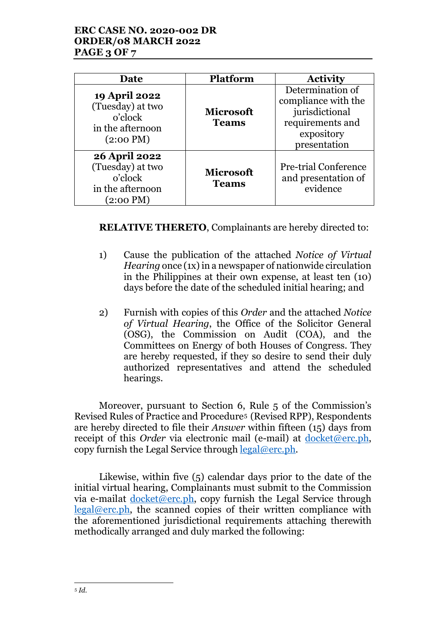## **ERC CASE NO. 2020-002 DR ORDER/08 MARCH 2022 PAGE 3 OF 7**

| <b>Date</b>                                                                                    | <b>Platform</b>                  | <b>Activity</b>                                                                                             |
|------------------------------------------------------------------------------------------------|----------------------------------|-------------------------------------------------------------------------------------------------------------|
| <b>19 April 2022</b><br>(Tuesday) at two<br>o'clock<br>in the afternoon<br>$(2:00 \text{ PM})$ | <b>Microsoft</b><br><b>Teams</b> | Determination of<br>compliance with the<br>jurisdictional<br>requirements and<br>expository<br>presentation |
| <b>26 April 2022</b><br>(Tuesday) at two<br>o'clock<br>in the afternoon<br>(2:00 PM)           | <b>Microsoft</b><br><b>Teams</b> | <b>Pre-trial Conference</b><br>and presentation of<br>evidence                                              |

**RELATIVE THERETO**, Complainants are hereby directed to:

- 1) Cause the publication of the attached *Notice of Virtual Hearing* once (1x) in a newspaper of nationwide circulation in the Philippines at their own expense, at least ten (10) days before the date of the scheduled initial hearing; and
- 2) Furnish with copies of this *Order* and the attached *Notice of Virtual Hearing*, the Office of the Solicitor General (OSG), the Commission on Audit (COA), and the Committees on Energy of both Houses of Congress. They are hereby requested, if they so desire to send their duly authorized representatives and attend the scheduled hearings.

Moreover, pursuant to Section 6, Rule 5 of the Commission's Revised Rules of Practice and Procedure5 (Revised RPP), Respondents are hereby directed to file their *Answer* within fifteen (15) days from receipt of this *Order* via electronic mail (e-mail) at <u>docket@erc.ph</u>, copy furnish the Legal Service through  $\text{legal@erc.ph.}$ 

Likewise, within five (5) calendar days prior to the date of the initial virtual hearing, Complainants must submit to the Commission via e-mailat  $\frac{d\n\text{oket@erc.ph}}{d\n\text{verch}}$ , copy furnish the Legal Service through legal@erc.ph, the scanned copies of their written compliance with the aforementioned jurisdictional requirements attaching therewith methodically arranged and duly marked the following: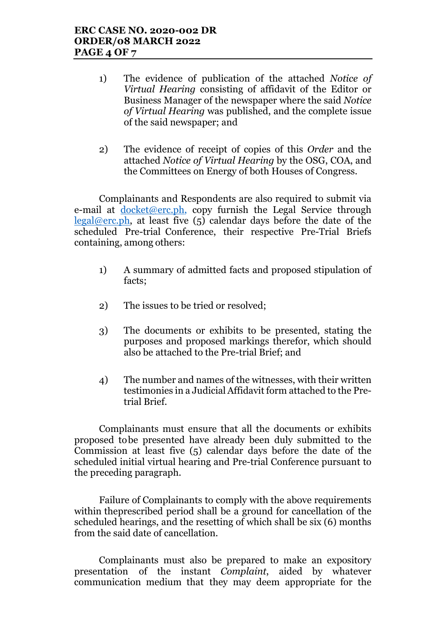- 1) The evidence of publication of the attached *Notice of Virtual Hearing* consisting of affidavit of the Editor or Business Manager of the newspaper where the said *Notice of Virtual Hearing* was published, and the complete issue of the said newspaper; and
- 2) The evidence of receipt of copies of this *Order* and the attached *Notice of Virtual Hearing* by the OSG, COA, and the Committees on Energy of both Houses of Congress.

Complainants and Respondents are also required to submit via e-mail at <u>docket@erc.ph</u>, copy furnish the Legal Service through  $legal@erc.ph$ , at least five  $(5)$  calendar days before the date of the scheduled Pre-trial Conference, their respective Pre-Trial Briefs containing, among others:

- 1) A summary of admitted facts and proposed stipulation of facts;
- 2) The issues to be tried or resolved;
- 3) The documents or exhibits to be presented, stating the purposes and proposed markings therefor, which should also be attached to the Pre-trial Brief; and
- 4) The number and names of the witnesses, with their written testimonies in a Judicial Affidavit form attached to the Pretrial Brief.

Complainants must ensure that all the documents or exhibits proposed tobe presented have already been duly submitted to the Commission at least five (5) calendar days before the date of the scheduled initial virtual hearing and Pre-trial Conference pursuant to the preceding paragraph.

Failure of Complainants to comply with the above requirements within theprescribed period shall be a ground for cancellation of the scheduled hearings, and the resetting of which shall be six (6) months from the said date of cancellation.

Complainants must also be prepared to make an expository presentation of the instant *Complaint*, aided by whatever communication medium that they may deem appropriate for the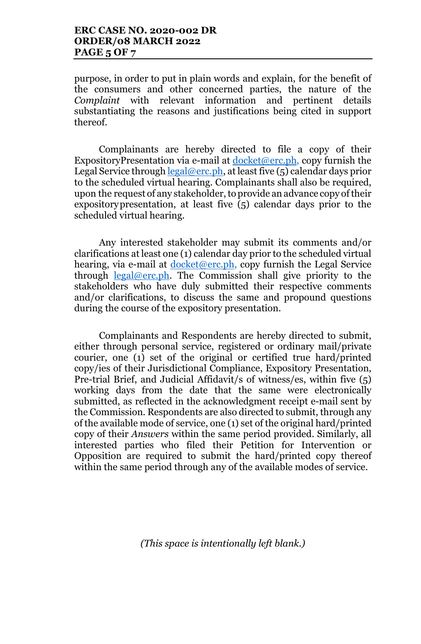purpose, in order to put in plain words and explain, for the benefit of the consumers and other concerned parties, the nature of the *Complaint* with relevant information and pertinent details substantiating the reasons and justifications being cited in support thereof.

Complainants are hereby directed to file a copy of their ExpositoryPresentation via e-mail at  $d$ ocket@erc.ph, copy furnish the Legal Service through legal@erc.ph, at least five (5) calendar days prior to the scheduled virtual hearing. Complainants shall also be required, upon the request of any stakeholder, to provide an advance copy of their expositorypresentation, at least five (5) calendar days prior to the scheduled virtual hearing.

Any interested stakeholder may submit its comments and/or clarifications at least one (1) calendar day prior to the scheduled virtual hearing, via e-mail at  $d$ ocket@erc.ph, copy furnish the Legal Service through  $\text{legal@erc.ph.}$  The Commission shall give priority to the stakeholders who have duly submitted their respective comments and/or clarifications, to discuss the same and propound questions during the course of the expository presentation.

Complainants and Respondents are hereby directed to submit, either through personal service, registered or ordinary mail/private courier, one (1) set of the original or certified true hard/printed copy/ies of their Jurisdictional Compliance, Expository Presentation, Pre-trial Brief, and Judicial Affidavit/s of witness/es, within five (5) working days from the date that the same were electronically submitted, as reflected in the acknowledgment receipt e-mail sent by the Commission. Respondents are also directed to submit, through any of the available mode of service, one (1) set of the original hard/printed copy of their *Answers* within the same period provided. Similarly, all interested parties who filed their Petition for Intervention or Opposition are required to submit the hard/printed copy thereof within the same period through any of the available modes of service.

*(This space is intentionally left blank.)*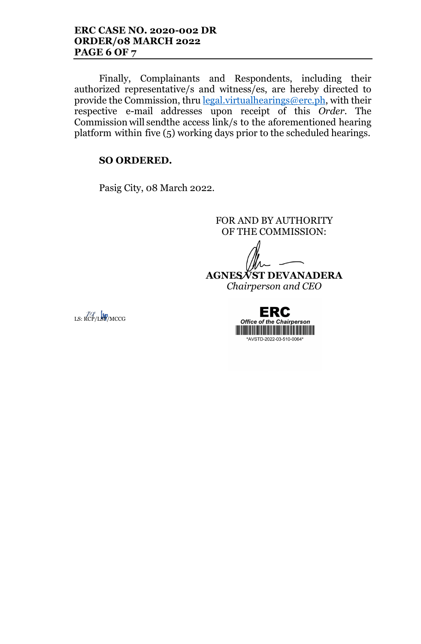Finally, Complainants and Respondents, including their authorized representative/s and witness/es, are hereby directed to provide the Commission, thru legal.virtualhearings@erc.ph, with their respective e-mail addresses upon receipt of this *Order*. The Commission will sendthe access link/s to the aforementioned hearing platform within five (5) working days prior to the scheduled hearings.

## **SO ORDERED.**

Pasig City, 08 March 2022.

FOR AND BY AUTHORITY OF THE COMMISSION:

**AGNES VST DEVANADERA**

*Chairperson and CEO*